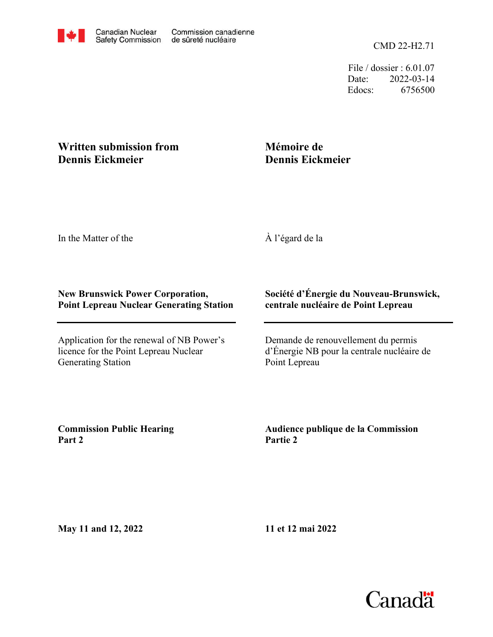CMD 22-H2.71

File / dossier : 6.01.07 Date: 2022-03-14 Edocs: 6756500

## **Written submission from Dennis Eickmeier**

## **Mémoire de Dennis Eickmeier**

In the Matter of the

À l'égard de la

## **New Brunswick Power Corporation, Point Lepreau Nuclear Generating Station**

Application for the renewal of NB Power's licence for the Point Lepreau Nuclear Generating Station

## **Société d'Énergie du Nouveau-Brunswick, centrale nucléaire de Point Lepreau**

Demande de renouvellement du permis d'Énergie NB pour la centrale nucléaire de Point Lepreau

**Commission Public Hearing Part 2**

**Audience publique de la Commission Partie 2**

**May 11 and 12, 2022**

**11 et 12 mai 2022**